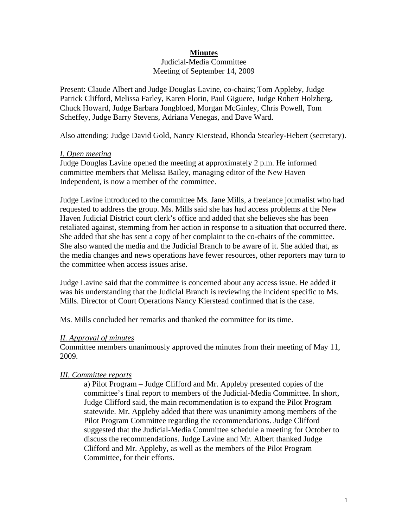# **Minutes**

Judicial-Media Committee Meeting of September 14, 2009

Present: Claude Albert and Judge Douglas Lavine, co-chairs; Tom Appleby, Judge Patrick Clifford, Melissa Farley, Karen Florin, Paul Giguere, Judge Robert Holzberg, Chuck Howard, Judge Barbara Jongbloed, Morgan McGinley, Chris Powell, Tom Scheffey, Judge Barry Stevens, Adriana Venegas, and Dave Ward.

Also attending: Judge David Gold, Nancy Kierstead, Rhonda Stearley-Hebert (secretary).

#### *I. Open meeting*

Judge Douglas Lavine opened the meeting at approximately 2 p.m. He informed committee members that Melissa Bailey, managing editor of the New Haven Independent, is now a member of the committee.

Judge Lavine introduced to the committee Ms. Jane Mills, a freelance journalist who had requested to address the group. Ms. Mills said she has had access problems at the New Haven Judicial District court clerk's office and added that she believes she has been retaliated against, stemming from her action in response to a situation that occurred there. She added that she has sent a copy of her complaint to the co-chairs of the committee. She also wanted the media and the Judicial Branch to be aware of it. She added that, as the media changes and news operations have fewer resources, other reporters may turn to the committee when access issues arise.

Judge Lavine said that the committee is concerned about any access issue. He added it was his understanding that the Judicial Branch is reviewing the incident specific to Ms. Mills. Director of Court Operations Nancy Kierstead confirmed that is the case.

Ms. Mills concluded her remarks and thanked the committee for its time.

### *II. Approval of minutes*

Committee members unanimously approved the minutes from their meeting of May 11, 2009.

### *III. Committee reports*

 a) Pilot Program – Judge Clifford and Mr. Appleby presented copies of the committee's final report to members of the Judicial-Media Committee. In short, Judge Clifford said, the main recommendation is to expand the Pilot Program statewide. Mr. Appleby added that there was unanimity among members of the Pilot Program Committee regarding the recommendations. Judge Clifford suggested that the Judicial-Media Committee schedule a meeting for October to discuss the recommendations. Judge Lavine and Mr. Albert thanked Judge Clifford and Mr. Appleby, as well as the members of the Pilot Program Committee, for their efforts.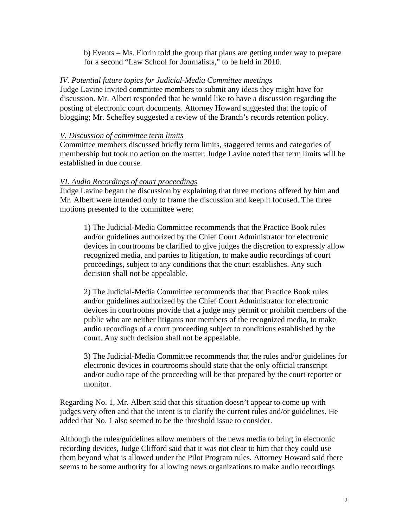b) Events – Ms. Florin told the group that plans are getting under way to prepare for a second "Law School for Journalists," to be held in 2010.

## *IV. Potential future topics for Judicial-Media Committee meetings*

Judge Lavine invited committee members to submit any ideas they might have for discussion. Mr. Albert responded that he would like to have a discussion regarding the posting of electronic court documents. Attorney Howard suggested that the topic of blogging; Mr. Scheffey suggested a review of the Branch's records retention policy.

# *V. Discussion of committee term limits*

Committee members discussed briefly term limits, staggered terms and categories of membership but took no action on the matter. Judge Lavine noted that term limits will be established in due course.

## *VI. Audio Recordings of court proceedings*

Judge Lavine began the discussion by explaining that three motions offered by him and Mr. Albert were intended only to frame the discussion and keep it focused. The three motions presented to the committee were:

 1) The Judicial-Media Committee recommends that the Practice Book rules and/or guidelines authorized by the Chief Court Administrator for electronic devices in courtrooms be clarified to give judges the discretion to expressly allow recognized media, and parties to litigation, to make audio recordings of court proceedings, subject to any conditions that the court establishes. Any such decision shall not be appealable.

 2) The Judicial-Media Committee recommends that that Practice Book rules and/or guidelines authorized by the Chief Court Administrator for electronic devices in courtrooms provide that a judge may permit or prohibit members of the public who are neither litigants nor members of the recognized media, to make audio recordings of a court proceeding subject to conditions established by the court. Any such decision shall not be appealable.

 3) The Judicial-Media Committee recommends that the rules and/or guidelines for electronic devices in courtrooms should state that the only official transcript and/or audio tape of the proceeding will be that prepared by the court reporter or monitor.

Regarding No. 1, Mr. Albert said that this situation doesn't appear to come up with judges very often and that the intent is to clarify the current rules and/or guidelines. He added that No. 1 also seemed to be the threshold issue to consider.

Although the rules/guidelines allow members of the news media to bring in electronic recording devices, Judge Clifford said that it was not clear to him that they could use them beyond what is allowed under the Pilot Program rules. Attorney Howard said there seems to be some authority for allowing news organizations to make audio recordings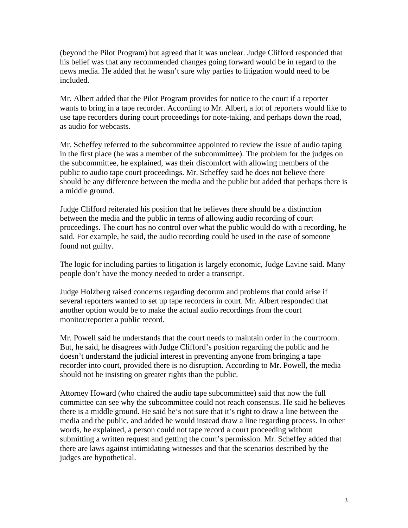(beyond the Pilot Program) but agreed that it was unclear. Judge Clifford responded that his belief was that any recommended changes going forward would be in regard to the news media. He added that he wasn't sure why parties to litigation would need to be included.

Mr. Albert added that the Pilot Program provides for notice to the court if a reporter wants to bring in a tape recorder. According to Mr. Albert, a lot of reporters would like to use tape recorders during court proceedings for note-taking, and perhaps down the road, as audio for webcasts.

Mr. Scheffey referred to the subcommittee appointed to review the issue of audio taping in the first place (he was a member of the subcommittee). The problem for the judges on the subcommittee, he explained, was their discomfort with allowing members of the public to audio tape court proceedings. Mr. Scheffey said he does not believe there should be any difference between the media and the public but added that perhaps there is a middle ground.

Judge Clifford reiterated his position that he believes there should be a distinction between the media and the public in terms of allowing audio recording of court proceedings. The court has no control over what the public would do with a recording, he said. For example, he said, the audio recording could be used in the case of someone found not guilty.

The logic for including parties to litigation is largely economic, Judge Lavine said. Many people don't have the money needed to order a transcript.

Judge Holzberg raised concerns regarding decorum and problems that could arise if several reporters wanted to set up tape recorders in court. Mr. Albert responded that another option would be to make the actual audio recordings from the court monitor/reporter a public record.

Mr. Powell said he understands that the court needs to maintain order in the courtroom. But, he said, he disagrees with Judge Clifford's position regarding the public and he doesn't understand the judicial interest in preventing anyone from bringing a tape recorder into court, provided there is no disruption. According to Mr. Powell, the media should not be insisting on greater rights than the public.

Attorney Howard (who chaired the audio tape subcommittee) said that now the full committee can see why the subcommittee could not reach consensus. He said he believes there is a middle ground. He said he's not sure that it's right to draw a line between the media and the public, and added he would instead draw a line regarding process. In other words, he explained, a person could not tape record a court proceeding without submitting a written request and getting the court's permission. Mr. Scheffey added that there are laws against intimidating witnesses and that the scenarios described by the judges are hypothetical.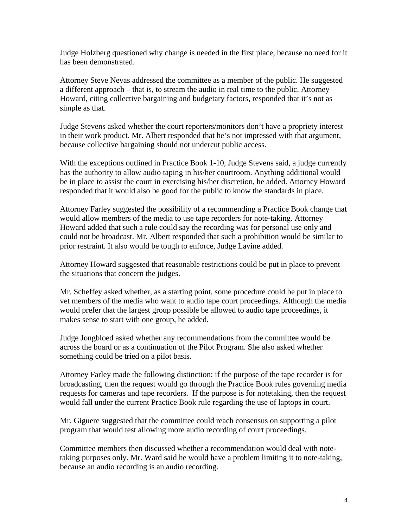Judge Holzberg questioned why change is needed in the first place, because no need for it has been demonstrated.

Attorney Steve Nevas addressed the committee as a member of the public. He suggested a different approach – that is, to stream the audio in real time to the public. Attorney Howard, citing collective bargaining and budgetary factors, responded that it's not as simple as that.

Judge Stevens asked whether the court reporters/monitors don't have a propriety interest in their work product. Mr. Albert responded that he's not impressed with that argument, because collective bargaining should not undercut public access.

With the exceptions outlined in Practice Book 1-10, Judge Stevens said, a judge currently has the authority to allow audio taping in his/her courtroom. Anything additional would be in place to assist the court in exercising his/her discretion, he added. Attorney Howard responded that it would also be good for the public to know the standards in place.

Attorney Farley suggested the possibility of a recommending a Practice Book change that would allow members of the media to use tape recorders for note-taking. Attorney Howard added that such a rule could say the recording was for personal use only and could not be broadcast. Mr. Albert responded that such a prohibition would be similar to prior restraint. It also would be tough to enforce, Judge Lavine added.

Attorney Howard suggested that reasonable restrictions could be put in place to prevent the situations that concern the judges.

Mr. Scheffey asked whether, as a starting point, some procedure could be put in place to vet members of the media who want to audio tape court proceedings. Although the media would prefer that the largest group possible be allowed to audio tape proceedings, it makes sense to start with one group, he added.

Judge Jongbloed asked whether any recommendations from the committee would be across the board or as a continuation of the Pilot Program. She also asked whether something could be tried on a pilot basis.

Attorney Farley made the following distinction: if the purpose of the tape recorder is for broadcasting, then the request would go through the Practice Book rules governing media requests for cameras and tape recorders. If the purpose is for notetaking, then the request would fall under the current Practice Book rule regarding the use of laptops in court.

Mr. Giguere suggested that the committee could reach consensus on supporting a pilot program that would test allowing more audio recording of court proceedings.

Committee members then discussed whether a recommendation would deal with notetaking purposes only. Mr. Ward said he would have a problem limiting it to note-taking, because an audio recording is an audio recording.